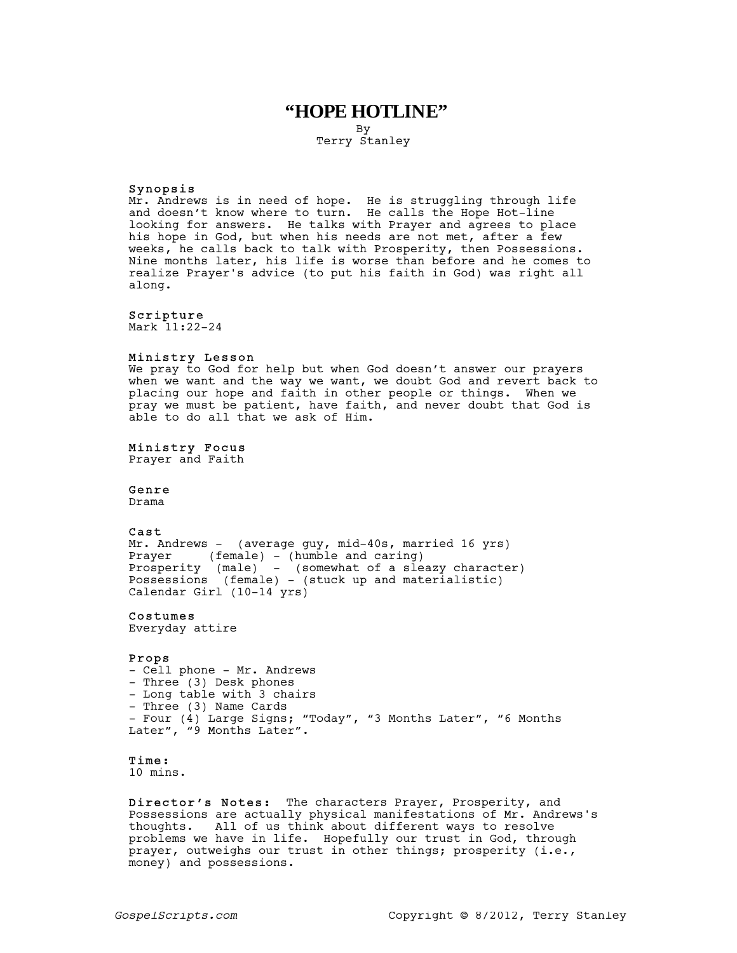# **"HOPE HOTLINE"**

By Terry Stanley

#### Synopsis

Mr. Andrews is in need of hope. He is struggling through life and doesn't know where to turn. He calls the Hope Hot-line looking for answers. He talks with Prayer and agrees to place his hope in God, but when his needs are not met, after a few weeks, he calls back to talk with Prosperity, then Possessions. Nine months later, his life is worse than before and he comes to realize Prayer's advice (to put his faith in God) was right all along.

#### Scripture

Mark 11:22-24

### Ministry Lesson

We pray to God for help but when God doesn't answer our prayers when we want and the way we want, we doubt God and revert back to placing our hope and faith in other people or things. When we pray we must be patient, have faith, and never doubt that God is able to do all that we ask of Him.

#### Ministry Focus

Prayer and Faith

#### Genre

Drama

#### Cast

Mr. Andrews - (average guy, mid-40s, married 16 yrs) Prayer (female) - (humble and caring) Prosperity (male) - (somewhat of a sleazy character) Possessions (female) - (stuck up and materialistic) Calendar Girl (10-14 yrs)

#### Costumes

Everyday attire

#### Props

- Cell phone - Mr. Andrews - Three (3) Desk phones - Long table with 3 chairs - Three (3) Name Cards - Four (4) Large Signs; "Today", "3 Months Later", "6 Months Later", "9 Months Later".

# Time:

10 mins.

Director's Notes: The characters Prayer, Prosperity, and Possessions are actually physical manifestations of Mr. Andrews's thoughts. All of us think about different ways to resolve problems we have in life. Hopefully our trust in God, through prayer, outweighs our trust in other things; prosperity (i.e., money) and possessions.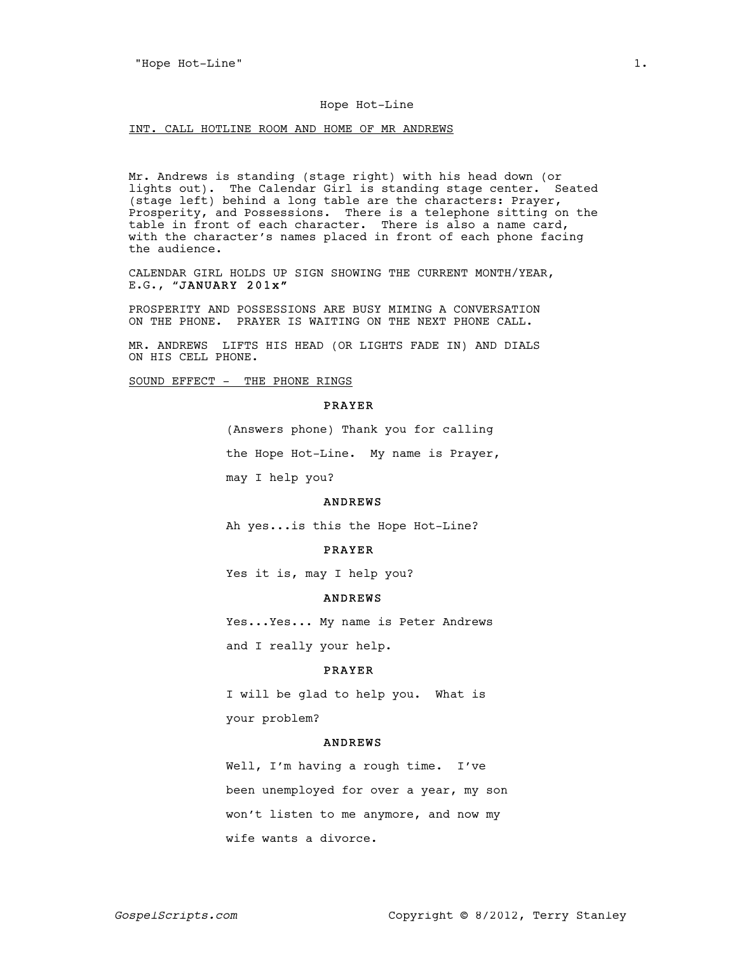#### Hope Hot-Line

INT. CALL HOTLINE ROOM AND HOME OF MR ANDREWS

Mr. Andrews is standing (stage right) with his head down (or lights out). The Calendar Girl is standing stage center. Seated (stage left) behind a long table are the characters: Prayer, Prosperity, and Possessions. There is a telephone sitting on the table in front of each character. There is also a name card, with the character's names placed in front of each phone facing the audience.

CALENDAR GIRL HOLDS UP SIGN SHOWING THE CURRENT MONTH/YEAR, E.G., "JANUARY 201x"

PROSPERITY AND POSSESSIONS ARE BUSY MIMING A CONVERSATION ON THE PHONE. PRAYER IS WAITING ON THE NEXT PHONE CALL.

MR. ANDREWS LIFTS HIS HEAD (OR LIGHTS FADE IN) AND DIALS ON HIS CELL PHONE.

SOUND EFFECT - THE PHONE RINGS

#### PRAYER

(Answers phone) Thank you for calling the Hope Hot-Line. My name is Prayer, may I help you?

#### ANDREWS

Ah yes...is this the Hope Hot-Line?

#### PRAYER

Yes it is, may I help you?

#### ANDREWS

Yes...Yes... My name is Peter Andrews and I really your help.

#### PRAYER

I will be glad to help you. What is your problem?

### ANDREWS

Well, I'm having a rough time. I've been unemployed for over a year, my son won't listen to me anymore, and now my wife wants a divorce.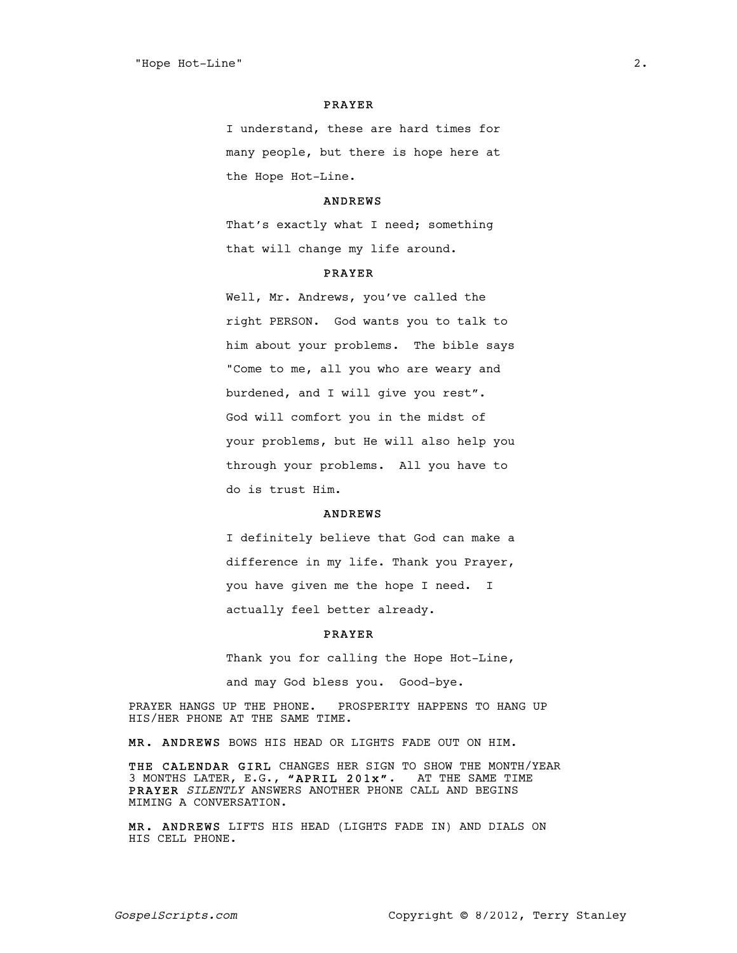#### PRAYER

I understand, these are hard times for many people, but there is hope here at the Hope Hot-Line.

### ANDREWS

That's exactly what I need; something that will change my life around.

### PRAYER

Well, Mr. Andrews, you've called the right PERSON. God wants you to talk to him about your problems. The bible says "Come to me, all you who are weary and burdened, and I will give you rest". God will comfort you in the midst of your problems, but He will also help you through your problems. All you have to do is trust Him.

### ANDREWS

I definitely believe that God can make a difference in my life. Thank you Prayer, you have given me the hope I need. I actually feel better already.

### PRAYER

Thank you for calling the Hope Hot-Line,

and may God bless you. Good-bye.

PRAYER HANGS UP THE PHONE. PROSPERITY HAPPENS TO HANG UP HIS/HER PHONE AT THE SAME TIME.

MR. ANDREWS BOWS HIS HEAD OR LIGHTS FADE OUT ON HIM.

THE CALENDAR GIRL CHANGES HER SIGN TO SHOW THE MONTH/YEAR 3 MONTHS LATER, E.G., "APRIL 201x". AT THE SAME TIME PRAYER SILENTLY ANSWERS ANOTHER PHONE CALL AND BEGINS MIMING A CONVERSATION.

MR. ANDREWS LIFTS HIS HEAD (LIGHTS FADE IN) AND DIALS ON HIS CELL PHONE.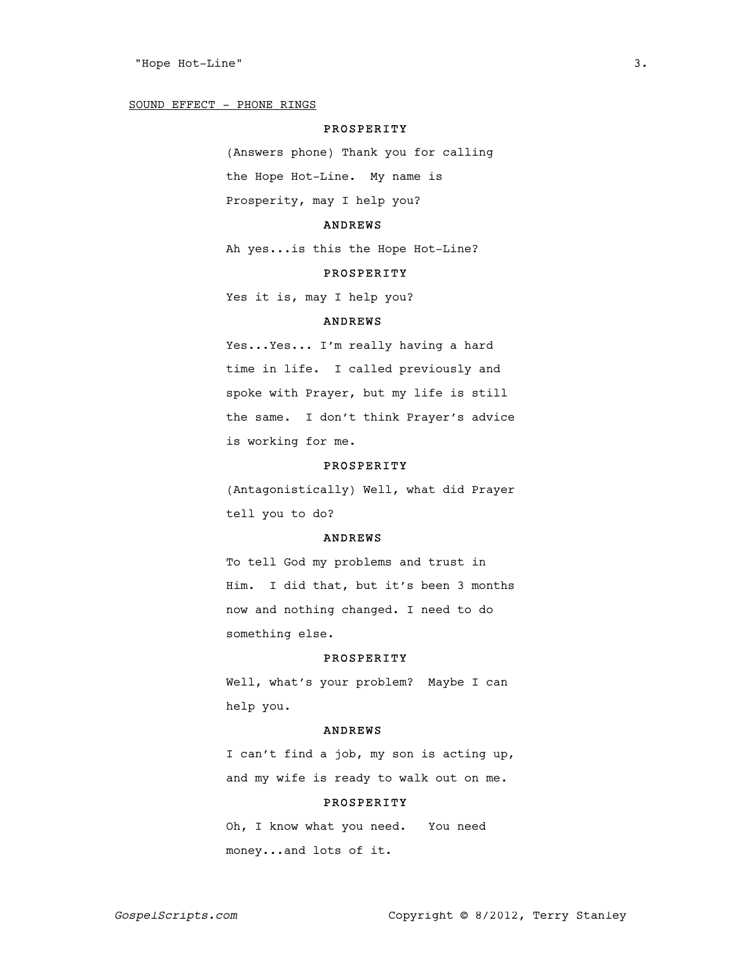#### SOUND EFFECT - PHONE RINGS

# PROSPERITY

(Answers phone) Thank you for calling the Hope Hot-Line. My name is Prosperity, may I help you?

### ANDREWS

Ah yes...is this the Hope Hot-Line?

# PROSPERITY

Yes it is, may I help you?

### ANDREWS

Yes...Yes... I'm really having a hard time in life. I called previously and spoke with Prayer, but my life is still the same. I don't think Prayer's advice is working for me.

# PROSPERITY

(Antagonistically) Well, what did Prayer tell you to do?

### ANDREWS

To tell God my problems and trust in Him. I did that, but it's been 3 months now and nothing changed. I need to do something else.

#### PROSPERITY

Well, what's your problem? Maybe I can help you.

#### ANDREWS

I can't find a job, my son is acting up, and my wife is ready to walk out on me.

# PROSPERITY

Oh, I know what you need. You need money...and lots of it.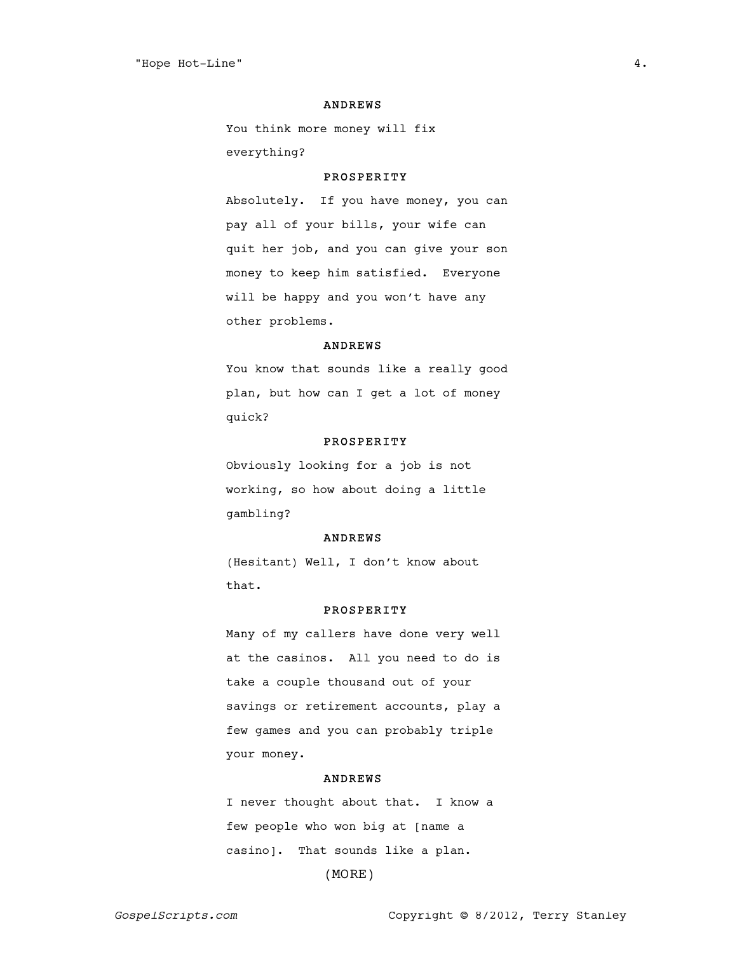#### ANDREWS

You think more money will fix everything?

### PROSPERITY

Absolutely. If you have money, you can pay all of your bills, your wife can quit her job, and you can give your son money to keep him satisfied. Everyone will be happy and you won't have any other problems.

# ANDREWS

You know that sounds like a really good plan, but how can I get a lot of money quick?

#### PROSPERITY

Obviously looking for a job is not working, so how about doing a little gambling?

### ANDREWS

(Hesitant) Well, I don't know about that.

# PROSPERITY

Many of my callers have done very well at the casinos. All you need to do is take a couple thousand out of your savings or retirement accounts, play a few games and you can probably triple your money.

#### ANDREWS

I never thought about that. I know a few people who won big at [name a casino]. That sounds like a plan. (MORE)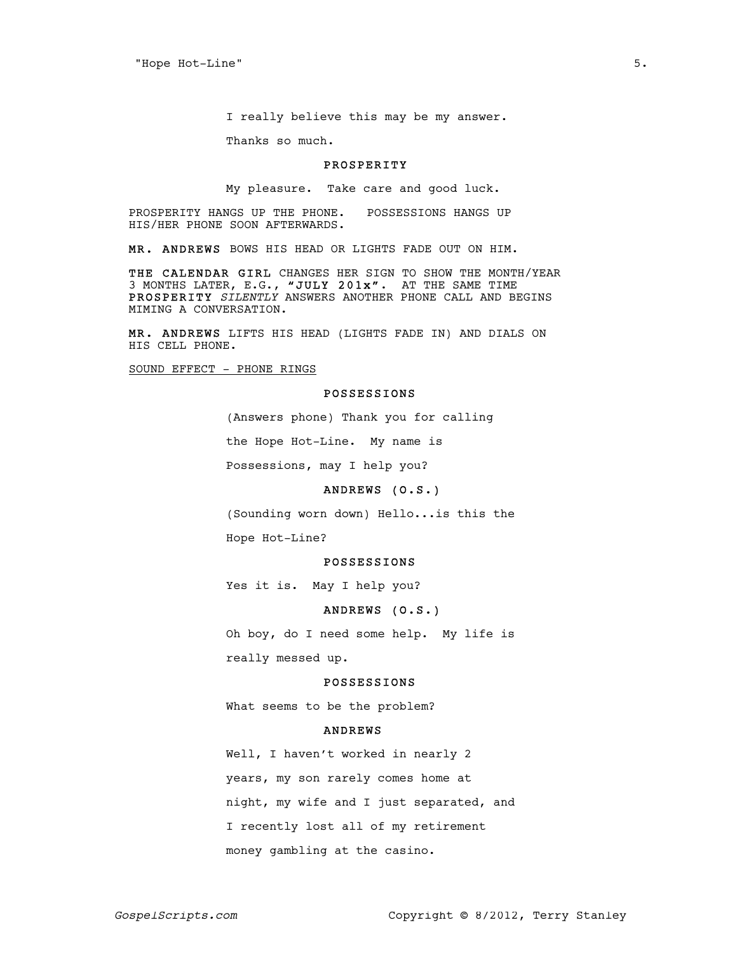I really believe this may be my answer.

Thanks so much.

#### PROSPERITY

My pleasure. Take care and good luck.

PROSPERITY HANGS UP THE PHONE. POSSESSIONS HANGS UP HIS/HER PHONE SOON AFTERWARDS.

MR. ANDREWS BOWS HIS HEAD OR LIGHTS FADE OUT ON HIM.

THE CALENDAR GIRL CHANGES HER SIGN TO SHOW THE MONTH/YEAR 3 MONTHS LATER, E.G., "JULY 201x". AT THE SAME TIME PROSPERITY SILENTLY ANSWERS ANOTHER PHONE CALL AND BEGINS MIMING A CONVERSATION.

MR. ANDREWS LIFTS HIS HEAD (LIGHTS FADE IN) AND DIALS ON HIS CELL PHONE.

SOUND EFFECT - PHONE RINGS

### POSSESSIONS

(Answers phone) Thank you for calling

the Hope Hot-Line. My name is

Possessions, may I help you?

# ANDREWS (O.S.)

(Sounding worn down) Hello...is this the

Hope Hot-Line?

#### POSSESSIONS

Yes it is. May I help you?

# ANDREWS (O.S.)

Oh boy, do I need some help. My life is really messed up.

## POSSESSIONS

What seems to be the problem?

#### ANDREWS

Well, I haven't worked in nearly 2 years, my son rarely comes home at night, my wife and I just separated, and I recently lost all of my retirement money gambling at the casino.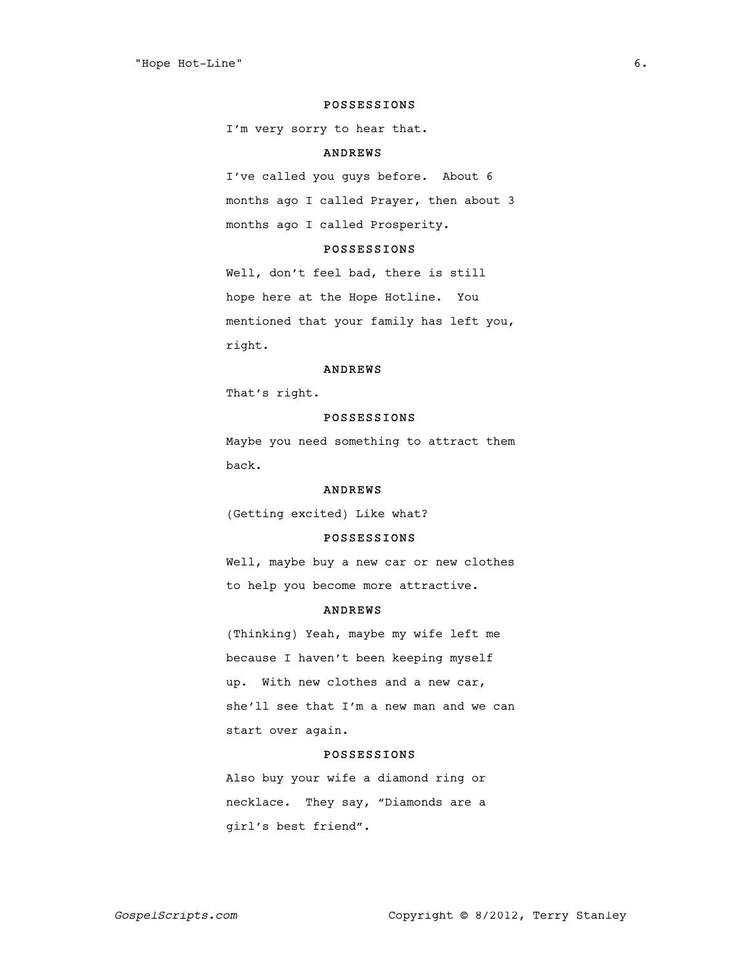#### POSSESSIONS

I'm very sorry to hear that.

# ANDREWS

I've called you guys before. About 6 months ago I called Prayer, then about 3 months ago I called Prosperity.

# POSSESSIONS

Well, don't feel bad, there is still hope here at the Hope Hotline. You mentioned that your family has left you, right.

#### ANDREWS

That's right.

# POSSESSIONS

Maybe you need something to attract them back.

## ANDREWS

(Getting excited) Like what?

# POSSESSIONS

Well, maybe buy a new car or new clothes to help you become more attractive.

### ANDREWS

(Thinking) Yeah, maybe my wife left me because I haven't been keeping myself up. With new clothes and a new car, she'll see that I'm a new man and we can start over again.

# POSSESSIONS

Also buy your wife a diamond ring or necklace. They say, "Diamonds are a girl's best friend".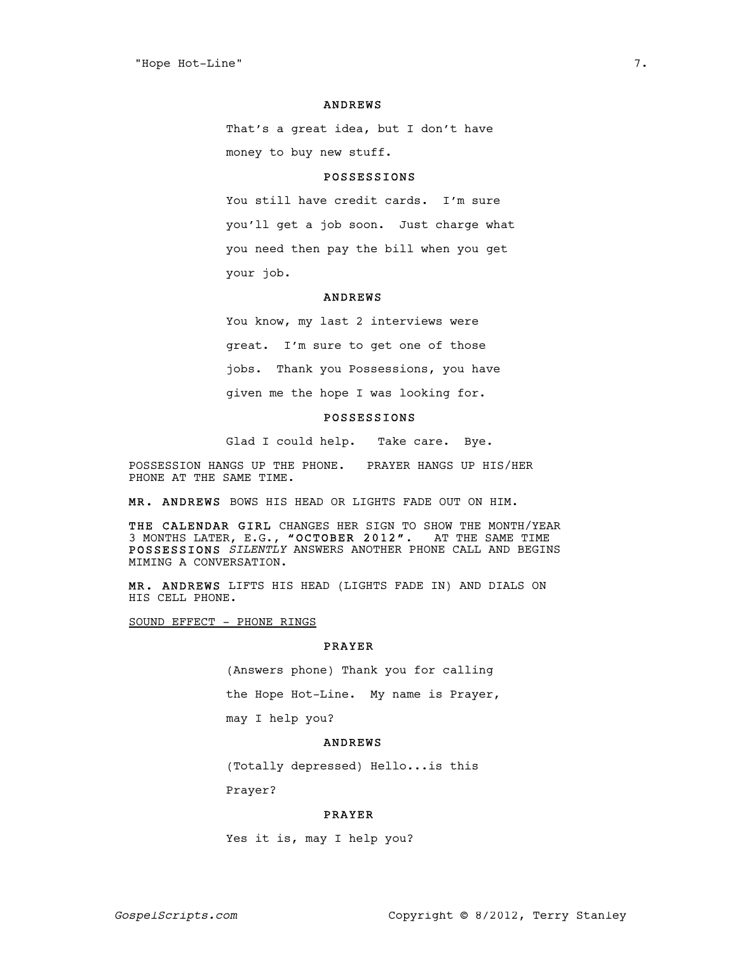#### ANDREWS

That's a great idea, but I don't have money to buy new stuff.

### POSSESSIONS

You still have credit cards. I'm sure you'll get a job soon. Just charge what you need then pay the bill when you get your job.

# ANDREWS

You know, my last 2 interviews were great. I'm sure to get one of those jobs. Thank you Possessions, you have given me the hope I was looking for.

# POSSESSIONS

Glad I could help. Take care. Bye.

POSSESSION HANGS UP THE PHONE. PRAYER HANGS UP HIS/HER PHONE AT THE SAME TIME.

MR. ANDREWS BOWS HIS HEAD OR LIGHTS FADE OUT ON HIM.

THE CALENDAR GIRL CHANGES HER SIGN TO SHOW THE MONTH/YEAR 3 MONTHS LATER, E.G., "OCTOBER 2012". AT THE SAME TIME POSSESSIONS SILENTLY ANSWERS ANOTHER PHONE CALL AND BEGINS MIMING A CONVERSATION.

MR. ANDREWS LIFTS HIS HEAD (LIGHTS FADE IN) AND DIALS ON HIS CELL PHONE.

SOUND EFFECT - PHONE RINGS

# PRAYER

(Answers phone) Thank you for calling the Hope Hot-Line. My name is Prayer, may I help you?

# ANDREWS

(Totally depressed) Hello...is this

Prayer?

### PRAYER

Yes it is, may I help you?